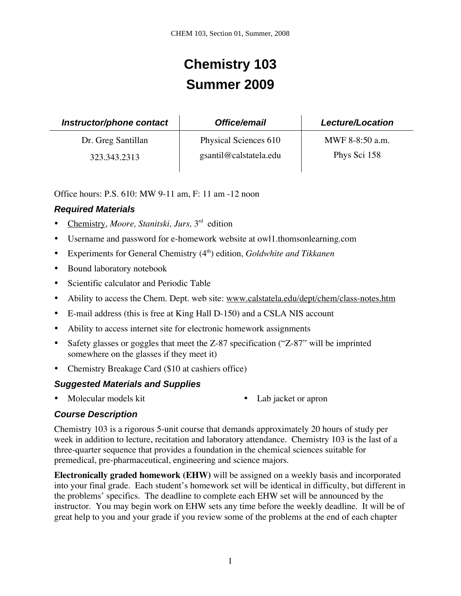# **Chemistry 103 Summer 2009**

| Instructor/phone contact | Office/email           | <b>Lecture/Location</b> |
|--------------------------|------------------------|-------------------------|
| Dr. Greg Santillan       | Physical Sciences 610  | MWF 8-8:50 a.m.         |
| 323.343.2313             | gsantil@calstatela.edu | Phys Sci 158            |

Office hours: P.S. 610: MW 9-11 am, F: 11 am -12 noon

## *Required Materials*

- Chemistry, *Moore, Stanitski, Jurs,* 3rd edition
- Username and password for e-homework website at owl1.thomsonlearning.com
- Experiments for General Chemistry (4th) edition, *Goldwhite and Tikkanen*
- Bound laboratory notebook
- Scientific calculator and Periodic Table
- Ability to access the Chem. Dept. web site: www.calstatela.edu/dept/chem/class-notes.htm
- E-mail address (this is free at King Hall D-150) and a CSLA NIS account
- Ability to access internet site for electronic homework assignments
- Safety glasses or goggles that meet the Z-87 specification ("Z-87" will be imprinted somewhere on the glasses if they meet it)
- Chemistry Breakage Card (\$10 at cashiers office)

## *Suggested Materials and Supplies*

- Molecular models kit Lab jacket or apron
- 

# *Course Description*

Chemistry 103 is a rigorous 5-unit course that demands approximately 20 hours of study per week in addition to lecture, recitation and laboratory attendance. Chemistry 103 is the last of a three-quarter sequence that provides a foundation in the chemical sciences suitable for premedical, pre-pharmaceutical, engineering and science majors.

**Electronically graded homework (EHW)** will be assigned on a weekly basis and incorporated into your final grade. Each student's homework set will be identical in difficulty, but different in the problems' specifics. The deadline to complete each EHW set will be announced by the instructor. You may begin work on EHW sets any time before the weekly deadline. It will be of great help to you and your grade if you review some of the problems at the end of each chapter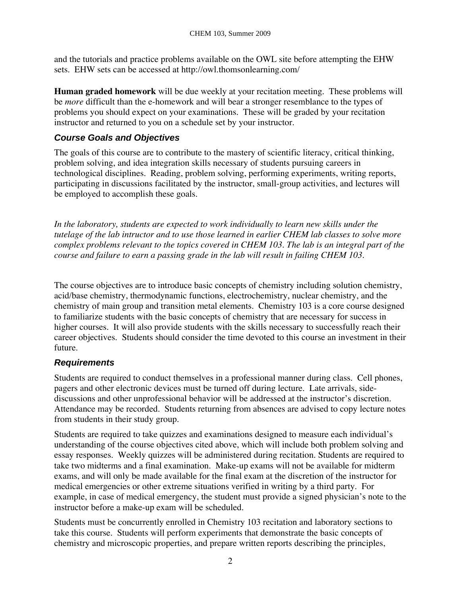and the tutorials and practice problems available on the OWL site before attempting the EHW sets. EHW sets can be accessed at http://owl.thomsonlearning.com/

**Human graded homework** will be due weekly at your recitation meeting. These problems will be *more* difficult than the e-homework and will bear a stronger resemblance to the types of problems you should expect on your examinations. These will be graded by your recitation instructor and returned to you on a schedule set by your instructor.

#### *Course Goals and Objectives*

The goals of this course are to contribute to the mastery of scientific literacy, critical thinking, problem solving, and idea integration skills necessary of students pursuing careers in technological disciplines. Reading, problem solving, performing experiments, writing reports, participating in discussions facilitated by the instructor, small-group activities, and lectures will be employed to accomplish these goals.

*In the laboratory, students are expected to work individually to learn new skills under the tutelage of the lab intructor and to use those learned in earlier CHEM lab classes to solve more complex problems relevant to the topics covered in CHEM 103. The lab is an integral part of the course and failure to earn a passing grade in the lab will result in failing CHEM 103.* 

The course objectives are to introduce basic concepts of chemistry including solution chemistry, acid/base chemistry, thermodynamic functions, electrochemistry, nuclear chemistry, and the chemistry of main group and transition metal elements. Chemistry 103 is a core course designed to familiarize students with the basic concepts of chemistry that are necessary for success in higher courses. It will also provide students with the skills necessary to successfully reach their career objectives. Students should consider the time devoted to this course an investment in their future.

#### *Requirements*

Students are required to conduct themselves in a professional manner during class. Cell phones, pagers and other electronic devices must be turned off during lecture. Late arrivals, sidediscussions and other unprofessional behavior will be addressed at the instructor's discretion. Attendance may be recorded. Students returning from absences are advised to copy lecture notes from students in their study group.

Students are required to take quizzes and examinations designed to measure each individual's understanding of the course objectives cited above, which will include both problem solving and essay responses. Weekly quizzes will be administered during recitation. Students are required to take two midterms and a final examination. Make-up exams will not be available for midterm exams, and will only be made available for the final exam at the discretion of the instructor for medical emergencies or other extreme situations verified in writing by a third party. For example, in case of medical emergency, the student must provide a signed physician's note to the instructor before a make-up exam will be scheduled.

Students must be concurrently enrolled in Chemistry 103 recitation and laboratory sections to take this course. Students will perform experiments that demonstrate the basic concepts of chemistry and microscopic properties, and prepare written reports describing the principles,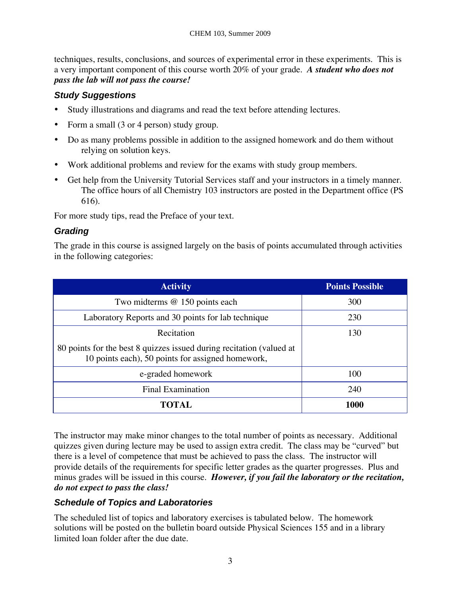techniques, results, conclusions, and sources of experimental error in these experiments. This is a very important component of this course worth 20% of your grade. *A student who does not pass the lab will not pass the course!* 

## *Study Suggestions*

- Study illustrations and diagrams and read the text before attending lectures.
- Form a small (3 or 4 person) study group.
- Do as many problems possible in addition to the assigned homework and do them without relying on solution keys.
- Work additional problems and review for the exams with study group members.
- Get help from the University Tutorial Services staff and your instructors in a timely manner. The office hours of all Chemistry 103 instructors are posted in the Department office (PS 616).

For more study tips, read the Preface of your text.

## *Grading*

The grade in this course is assigned largely on the basis of points accumulated through activities in the following categories:

| <b>Activity</b>                                                                                                           | <b>Points Possible</b> |
|---------------------------------------------------------------------------------------------------------------------------|------------------------|
| Two midterms @ 150 points each                                                                                            | 300                    |
| Laboratory Reports and 30 points for lab technique                                                                        | 230                    |
| Recitation                                                                                                                | 130                    |
| 80 points for the best 8 quizzes issued during recitation (valued at<br>10 points each), 50 points for assigned homework, |                        |
| e-graded homework                                                                                                         | 100                    |
| <b>Final Examination</b>                                                                                                  | 240                    |
| TOTAL                                                                                                                     | 1000                   |

The instructor may make minor changes to the total number of points as necessary. Additional quizzes given during lecture may be used to assign extra credit. The class may be "curved" but there is a level of competence that must be achieved to pass the class. The instructor will provide details of the requirements for specific letter grades as the quarter progresses. Plus and minus grades will be issued in this course. *However, if you fail the laboratory or the recitation, do not expect to pass the class!* 

# *Schedule of Topics and Laboratories*

The scheduled list of topics and laboratory exercises is tabulated below. The homework solutions will be posted on the bulletin board outside Physical Sciences 155 and in a library limited loan folder after the due date.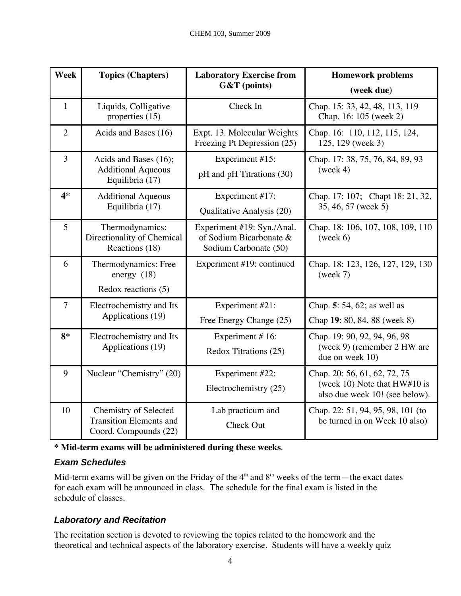| Week           | <b>Topics (Chapters)</b>                                                         | <b>Laboratory Exercise from</b><br>G&T (points)                                | <b>Homework problems</b>                                                                         |
|----------------|----------------------------------------------------------------------------------|--------------------------------------------------------------------------------|--------------------------------------------------------------------------------------------------|
|                |                                                                                  |                                                                                | (week due)                                                                                       |
| $\mathbf{1}$   | Liquids, Colligative<br>properties (15)                                          | Check In                                                                       | Chap. 15: 33, 42, 48, 113, 119<br>Chap. 16: 105 (week 2)                                         |
| $\overline{2}$ | Acids and Bases (16)                                                             | Expt. 13. Molecular Weights<br>Freezing Pt Depression (25)                     | Chap. 16: 110, 112, 115, 124,<br>125, 129 (week 3)                                               |
| 3              | Acids and Bases (16);<br><b>Additional Aqueous</b><br>Equilibria (17)            | Experiment #15:<br>pH and pH Titrations (30)                                   | Chap. 17: 38, 75, 76, 84, 89, 93<br>(week 4)                                                     |
| $4*$           | <b>Additional Aqueous</b><br>Equilibria (17)                                     | Experiment #17:<br>Qualitative Analysis (20)                                   | Chap. 17: 107; Chapt 18: 21, 32,<br>35, 46, 57 (week 5)                                          |
| 5              | Thermodynamics:<br>Directionality of Chemical<br>Reactions (18)                  | Experiment #19: Syn./Anal.<br>of Sodium Bicarbonate &<br>Sodium Carbonate (50) | Chap. 18: 106, 107, 108, 109, 110<br>(week 6)                                                    |
| 6              | Thermodynamics: Free<br>energy $(18)$                                            | Experiment #19: continued                                                      | Chap. 18: 123, 126, 127, 129, 130<br>(week 7)                                                    |
|                | Redox reactions (5)                                                              |                                                                                |                                                                                                  |
| $\overline{7}$ | Electrochemistry and Its                                                         | Experiment #21:                                                                | Chap. 5: 54, 62; as well as                                                                      |
|                | Applications (19)                                                                | Free Energy Change (25)                                                        | Chap 19: 80, 84, 88 (week 8)                                                                     |
| $8*$           | Electrochemistry and Its<br>Applications (19)                                    | Experiment #16:<br>Redox Titrations (25)                                       | Chap. 19: 90, 92, 94, 96, 98<br>(week 9) (remember 2 HW are<br>due on week 10)                   |
| 9              | Nuclear "Chemistry" (20)                                                         | Experiment #22:<br>Electrochemistry (25)                                       | Chap. 20: 56, 61, 62, 72, 75<br>(week 10) Note that $HW#10$ is<br>also due week 10! (see below). |
| 10             | Chemistry of Selected<br><b>Transition Elements and</b><br>Coord. Compounds (22) | Lab practicum and<br>Check Out                                                 | Chap. 22: 51, 94, 95, 98, 101 (to<br>be turned in on Week 10 also)                               |

**\* Mid-term exams will be administered during these weeks**.

## *Exam Schedules*

Mid-term exams will be given on the Friday of the  $4<sup>th</sup>$  and  $8<sup>th</sup>$  weeks of the term—the exact dates for each exam will be announced in class. The schedule for the final exam is listed in the schedule of classes.

# *Laboratory and Recitation*

The recitation section is devoted to reviewing the topics related to the homework and the theoretical and technical aspects of the laboratory exercise. Students will have a weekly quiz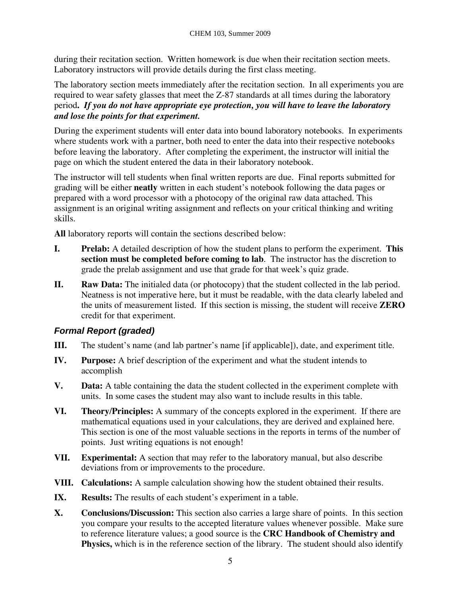during their recitation section. Written homework is due when their recitation section meets. Laboratory instructors will provide details during the first class meeting.

The laboratory section meets immediately after the recitation section. In all experiments you are required to wear safety glasses that meet the Z-87 standards at all times during the laboratory period**.** *If you do not have appropriate eye protection, you will have to leave the laboratory and lose the points for that experiment.* 

During the experiment students will enter data into bound laboratory notebooks. In experiments where students work with a partner, both need to enter the data into their respective notebooks before leaving the laboratory. After completing the experiment, the instructor will initial the page on which the student entered the data in their laboratory notebook.

The instructor will tell students when final written reports are due. Final reports submitted for grading will be either **neatly** written in each student's notebook following the data pages or prepared with a word processor with a photocopy of the original raw data attached. This assignment is an original writing assignment and reflects on your critical thinking and writing skills.

**All** laboratory reports will contain the sections described below:

- **I. Prelab:** A detailed description of how the student plans to perform the experiment. **This section must be completed before coming to lab**. The instructor has the discretion to grade the prelab assignment and use that grade for that week's quiz grade.
- **II. Raw Data:** The initialed data (or photocopy) that the student collected in the lab period. Neatness is not imperative here, but it must be readable, with the data clearly labeled and the units of measurement listed. If this section is missing, the student will receive **ZERO**  credit for that experiment.

#### *Formal Report (graded)*

- **III.** The student's name (and lab partner's name [if applicable]), date, and experiment title.
- **IV. Purpose:** A brief description of the experiment and what the student intends to accomplish
- **V. Data:** A table containing the data the student collected in the experiment complete with units. In some cases the student may also want to include results in this table.
- **VI. Theory/Principles:** A summary of the concepts explored in the experiment. If there are mathematical equations used in your calculations, they are derived and explained here. This section is one of the most valuable sections in the reports in terms of the number of points. Just writing equations is not enough!
- **VII. Experimental:** A section that may refer to the laboratory manual, but also describe deviations from or improvements to the procedure.
- **VIII. Calculations:** A sample calculation showing how the student obtained their results.
- **IX. Results:** The results of each student's experiment in a table.
- **X. Conclusions/Discussion:** This section also carries a large share of points. In this section you compare your results to the accepted literature values whenever possible. Make sure to reference literature values; a good source is the **CRC Handbook of Chemistry and Physics,** which is in the reference section of the library. The student should also identify